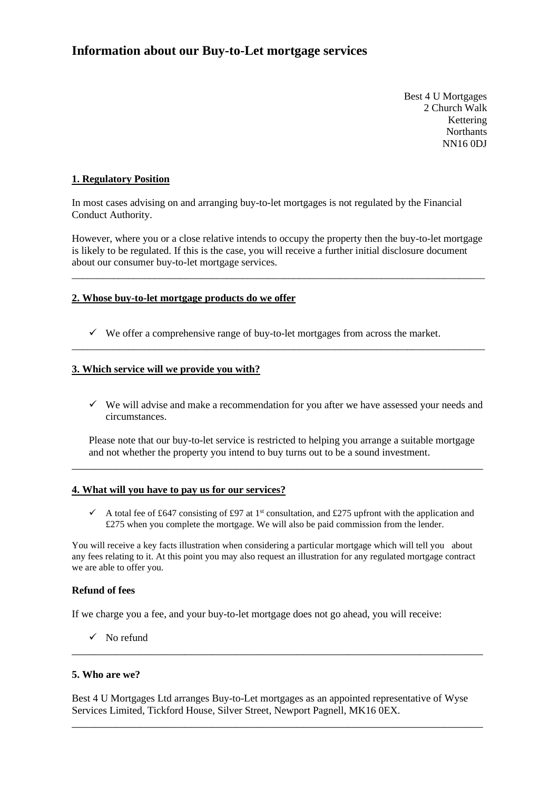# **Information about our Buy-to-Let mortgage services**

Best 4 U Mortgages 2 Church Walk Kettering **Northants** NN16 0DJ

## **1. Regulatory Position**

In most cases advising on and arranging buy-to-let mortgages is not regulated by the Financial Conduct Authority.

However, where you or a close relative intends to occupy the property then the buy-to-let mortgage is likely to be regulated. If this is the case, you will receive a further initial disclosure document about our consumer buy-to-let mortgage services.

\_\_\_\_\_\_\_\_\_\_\_\_\_\_\_\_\_\_\_\_\_\_\_\_\_\_\_\_\_\_\_\_\_\_\_\_\_\_\_\_\_\_\_\_\_\_\_\_\_\_\_\_\_\_\_\_\_\_\_\_\_\_\_\_\_\_\_\_\_\_\_\_\_\_\_\_\_\_\_\_

\_\_\_\_\_\_\_\_\_\_\_\_\_\_\_\_\_\_\_\_\_\_\_\_\_\_\_\_\_\_\_\_\_\_\_\_\_\_\_\_\_\_\_\_\_\_\_\_\_\_\_\_\_\_\_\_\_\_\_\_\_\_\_\_\_\_\_\_\_\_\_\_\_\_\_\_\_\_\_\_

# **2. Whose buy-to-let mortgage products do we offer**

 $\checkmark$  We offer a comprehensive range of buy-to-let mortgages from across the market.

### **3. Which service will we provide you with?**

 $\checkmark$  We will advise and make a recommendation for you after we have assessed your needs and circumstances.

Please note that our buy-to-let service is restricted to helping you arrange a suitable mortgage and not whether the property you intend to buy turns out to be a sound investment.

\_\_\_\_\_\_\_\_\_\_\_\_\_\_\_\_\_\_\_\_\_\_\_\_\_\_\_\_\_\_\_\_\_\_\_\_\_\_\_\_\_\_\_\_\_\_\_\_\_\_\_\_\_\_\_\_\_\_\_\_\_\_\_\_\_\_\_\_\_\_\_\_\_

### **4. What will you have to pay us for our services?**

 $\checkmark$  A total fee of £647 consisting of £97 at 1st consultation, and £275 upfront with the application and £275 when you complete the mortgage. We will also be paid commission from the lender.

You will receive a key facts illustration when considering a particular mortgage which will tell you about any fees relating to it. At this point you may also request an illustration for any regulated mortgage contract we are able to offer you.

### **Refund of fees**

If we charge you a fee, and your buy-to-let mortgage does not go ahead, you will receive:

 $\checkmark$  No refund

### **5. Who are we?**

Best 4 U Mortgages Ltd arranges Buy-to-Let mortgages as an appointed representative of Wyse Services Limited, Tickford House, Silver Street, Newport Pagnell, MK16 0EX.

\_\_\_\_\_\_\_\_\_\_\_\_\_\_\_\_\_\_\_\_\_\_\_\_\_\_\_\_\_\_\_\_\_\_\_\_\_\_\_\_\_\_\_\_\_\_\_\_\_\_\_\_\_\_\_\_\_\_\_\_\_\_\_\_\_\_\_\_\_\_\_\_\_

\_\_\_\_\_\_\_\_\_\_\_\_\_\_\_\_\_\_\_\_\_\_\_\_\_\_\_\_\_\_\_\_\_\_\_\_\_\_\_\_\_\_\_\_\_\_\_\_\_\_\_\_\_\_\_\_\_\_\_\_\_\_\_\_\_\_\_\_\_\_\_\_\_